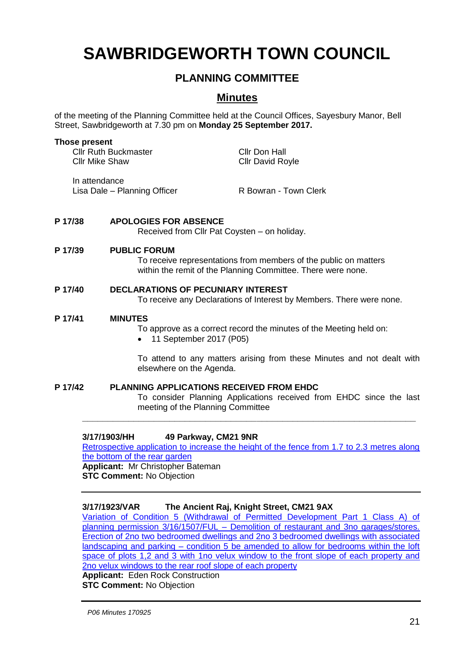# **SAWBRIDGEWORTH TOWN COUNCIL**

# **PLANNING COMMITTEE**

# **Minutes**

of the meeting of the Planning Committee held at the Council Offices, Sayesbury Manor, Bell Street, Sawbridgeworth at 7.30 pm on **Monday 25 September 2017.**

## **Those present** Cllr Ruth Buckmaster<br>Cllr Mike Shaw<br>Cllr David Ro Cllr David Royle

In attendance Lisa Dale – Planning Officer R Bowran - Town Clerk

#### **P 17/38 APOLOGIES FOR ABSENCE**

Received from Cllr Pat Coysten – on holiday.

#### **P 17/39 PUBLIC FORUM**

To receive representations from members of the public on matters within the remit of the Planning Committee. There were none.

#### **P 17/40 DECLARATIONS OF PECUNIARY INTEREST**

To receive any Declarations of Interest by Members. There were none.

#### **P 17/41 MINUTES**

To approve as a correct record the minutes of the Meeting held on:

• 11 September 2017 (P05)

To attend to any matters arising from these Minutes and not dealt with elsewhere on the Agenda.

### **P 17/42 PLANNING APPLICATIONS RECEIVED FROM EHDC**

To consider Planning Applications received from EHDC since the last meeting of the Planning Committee

#### **3/17/1903/HH 49 Parkway, CM21 9NR**

[Retrospective application to increase the height of the fence from 1.7 to 2.3 metres along](https://publicaccess.eastherts.gov.uk/online-applications/applicationDetails.do?activeTab=summary&keyVal=OUJ0GEGLI2V00) [the bottom of the rear garden](https://publicaccess.eastherts.gov.uk/online-applications/applicationDetails.do?activeTab=summary&keyVal=OUJ0GEGLI2V00) **Applicant:** Mr Christopher Bateman

**\_\_\_\_\_\_\_\_\_\_\_\_\_\_\_\_\_\_\_\_\_\_\_\_\_\_\_\_\_\_\_\_\_\_\_\_\_\_\_\_\_\_\_\_\_\_\_\_\_\_\_\_\_\_\_\_\_\_\_\_\_\_\_\_\_**

**STC Comment:** No Objection

#### **3/17/1923/VAR The Ancient Raj, Knight Street, CM21 9AX**

[Variation of Condition 5 \(Withdrawal of Permitted Development Part 1 Class A\) of](https://publicaccess.eastherts.gov.uk/online-applications/applicationDetails.do?activeTab=summary&keyVal=OUQF6DGLI4800)  planning permission 3/16/1507/FUL – [Demolition of restaurant and 3no garages/stores.](https://publicaccess.eastherts.gov.uk/online-applications/applicationDetails.do?activeTab=summary&keyVal=OUQF6DGLI4800)  [Erection of 2no two bedroomed dwellings and 2no](https://publicaccess.eastherts.gov.uk/online-applications/applicationDetails.do?activeTab=summary&keyVal=OUQF6DGLI4800) 3 bedroomed dwellings with associated landscaping and parking – [condition 5 be amended to allow for bedrooms within the loft](https://publicaccess.eastherts.gov.uk/online-applications/applicationDetails.do?activeTab=summary&keyVal=OUQF6DGLI4800)  [space of plots 1,2 and 3 with 1no velux window to the front slope of each property and](https://publicaccess.eastherts.gov.uk/online-applications/applicationDetails.do?activeTab=summary&keyVal=OUQF6DGLI4800)  [2no velux windows to the rear roof slope of each property](https://publicaccess.eastherts.gov.uk/online-applications/applicationDetails.do?activeTab=summary&keyVal=OUQF6DGLI4800)

**Applicant:** Eden Rock Construction **STC Comment:** No Objection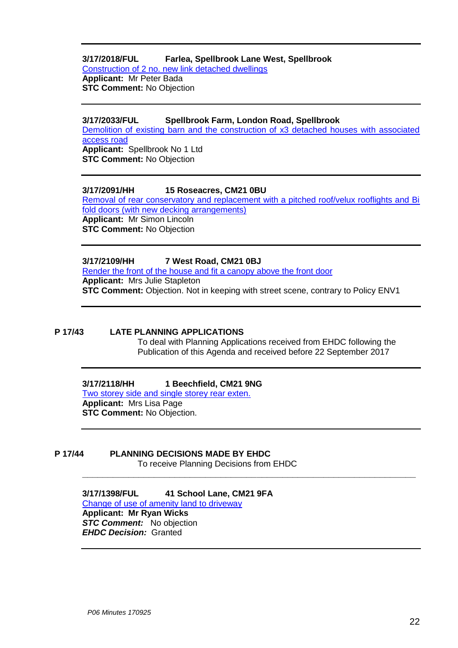#### **3/17/2018/FUL Farlea, Spellbrook Lane West, Spellbrook** [Construction of 2 no. new link detached dwellings](https://publicaccess.eastherts.gov.uk/online-applications/applicationDetails.do?activeTab=summary&keyVal=OVHVY5GLIA600)

**Applicant:** Mr Peter Bada **STC Comment:** No Objection

#### **3/17/2033/FUL Spellbrook Farm, London Road, Spellbrook**

[Demolition of existing barn and the construction of x3 detached houses with associated](https://publicaccess.eastherts.gov.uk/online-applications/applicationDetails.do?activeTab=summary&keyVal=OVLA7FGLIB500)  [access road](https://publicaccess.eastherts.gov.uk/online-applications/applicationDetails.do?activeTab=summary&keyVal=OVLA7FGLIB500) **Applicant:** Spellbrook No 1 Ltd **STC Comment:** No Objection

#### **3/17/2091/HH 15 Roseacres, CM21 0BU**

[Removal of rear conservatory and replacement with a pitched roof/velux rooflights and Bi](https://publicaccess.eastherts.gov.uk/online-applications/applicationDetails.do?activeTab=summary&keyVal=OVYK0KGLIF200)  [fold doors \(with new decking arrangements\)](https://publicaccess.eastherts.gov.uk/online-applications/applicationDetails.do?activeTab=summary&keyVal=OVYK0KGLIF200) **Applicant:** Mr Simon Lincoln **STC Comment:** No Objection

#### **3/17/2109/HH 7 West Road, CM21 0BJ**

[Render the front of the house and fit a canopy above the front door](https://publicaccess.eastherts.gov.uk/online-applications/applicationDetails.do?activeTab=summary&keyVal=OW4F4NGLIGH00) **Applicant:** Mrs Julie Stapleton **STC Comment:** Objection. Not in keeping with street scene, contrary to Policy ENV1

#### **P 17/43 LATE PLANNING APPLICATIONS**

To deal with Planning Applications received from EHDC following the Publication of this Agenda and received before 22 September 2017

#### **3/17/2118/HH 1 Beechfield, CM21 9NG**

Two storey [side and single storey rear exten.](https://publicaccess.eastherts.gov.uk/online-applications/applicationDetails.do?activeTab=summary&keyVal=OW4F4NGLIGH00) **Applicant:** Mrs Lisa Page **STC Comment:** No Objection.

#### **P 17/44 PLANNING DECISIONS MADE BY EHDC**

To receive Planning Decisions from EHDC

**\_\_\_\_\_\_\_\_\_\_\_\_\_\_\_\_\_\_\_\_\_\_\_\_\_\_\_\_\_\_\_\_\_\_\_\_\_\_\_\_\_\_\_\_\_\_\_\_\_\_\_\_\_\_\_\_\_\_\_\_\_\_\_\_\_**

**3/17/1398/FUL 41 School Lane, CM21 9FA** [Change of use of amenity land to driveway](https://publicaccess.eastherts.gov.uk/online-applications/applicationDetails.do?activeTab=summary&keyVal=ORLDWNGL00B00) **Applicant: Mr Ryan Wicks** *STC Comment:* No objection *EHDC Decision:* Granted